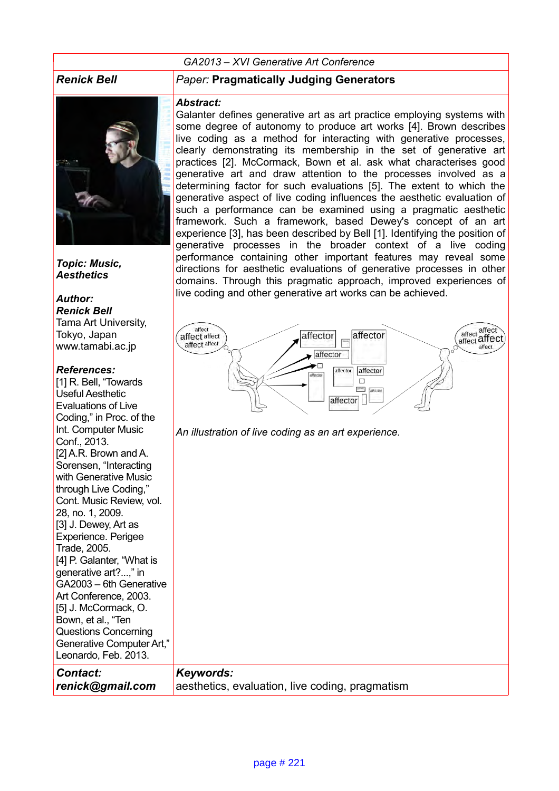#### *GA2013 – XVI Generative Art Conference*



*Topic: Music, Aesthetics*

# *Author:*

*Renick Bell* Tama Art University, Tokyo, Japan www.tamabi.ac.jp

#### *References:*

| <i><b>References:</b></i><br>[1] R. Bell, "Towards<br><b>Useful Aesthetic</b><br><b>Evaluations of Live</b><br>Coding," in Proc. of the<br>Int. Computer Music<br>Conf., 2013.<br>[2] A.R. Brown and A.<br>Sorensen, "Interacting<br>with Generative Music<br>through Live Coding,"<br>Cont. Music Review, vol.<br>28, no. 1, 2009.<br>[3] J. Dewey, Art as<br>Experience. Perigee<br>Trade, 2005.<br>[4] P. Galanter, "What is<br>generative art?," in<br>GA2003 - 6th Generative<br>Art Conference, 2003.<br>[5] J. McCormack, O.<br>Bown, et al., "Ten<br><b>Questions Concerning</b><br>Generative Computer Art," | affector<br>affector<br>affector<br>sports.<br>affector<br>affector<br>An illustration of live coding as an art experience. |
|-----------------------------------------------------------------------------------------------------------------------------------------------------------------------------------------------------------------------------------------------------------------------------------------------------------------------------------------------------------------------------------------------------------------------------------------------------------------------------------------------------------------------------------------------------------------------------------------------------------------------|-----------------------------------------------------------------------------------------------------------------------------|
| Leonardo, Feb. 2013.<br><b>Contact:</b><br>renick@gmail.com                                                                                                                                                                                                                                                                                                                                                                                                                                                                                                                                                           | Keywords:<br>aesthetics, evaluation, live coding, pragmatism                                                                |

#### *Renick Bell Paper:* **Pragmatically Judging Generators**

#### *Abstract:*

Galanter defines generative art as art practice employing systems with some degree of autonomy to produce art works [4]. Brown describes live coding as a method for interacting with generative processes, clearly demonstrating its membership in the set of generative art practices [2]. McCormack, Bown et al. ask what characterises good generative art and draw attention to the processes involved as a determining factor for such evaluations [5]. The extent to which the generative aspect of live coding influences the aesthetic evaluation of such a performance can be examined using a pragmatic aesthetic framework. Such a framework, based Dewey's concept of an art experience [3], has been described by Bell [1]. Identifying the position of generative processes in the broader context of a live coding performance containing other important features may reveal some directions for aesthetic evaluations of generative processes in other domains. Through this pragmatic approach, improved experiences of live coding and other generative art works can be achieved.

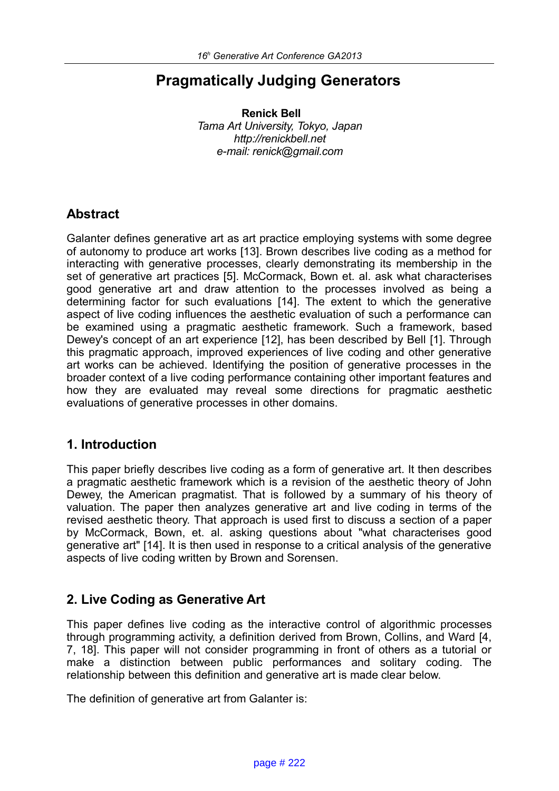# **Pragmatically Judging Generators**

**Renick Bell** *Tama Art University, Tokyo, Japan http://renickbell.net e-mail: renick@gmail.com*

# **Abstract**

Galanter defines generative art as art practice employing systems with some degree of autonomy to produce art works [13]. Brown describes live coding as a method for interacting with generative processes, clearly demonstrating its membership in the set of generative art practices [5]. McCormack, Bown et. al. ask what characterises good generative art and draw attention to the processes involved as being a determining factor for such evaluations [14]. The extent to which the generative aspect of live coding influences the aesthetic evaluation of such a performance can be examined using a pragmatic aesthetic framework. Such a framework, based Dewey's concept of an art experience [12], has been described by Bell [1]. Through this pragmatic approach, improved experiences of live coding and other generative art works can be achieved. Identifying the position of generative processes in the broader context of a live coding performance containing other important features and how they are evaluated may reveal some directions for pragmatic aesthetic evaluations of generative processes in other domains.

# **1. Introduction**

This paper briefly describes live coding as a form of generative art. It then describes a pragmatic aesthetic framework which is a revision of the aesthetic theory of John Dewey, the American pragmatist. That is followed by a summary of his theory of valuation. The paper then analyzes generative art and live coding in terms of the revised aesthetic theory. That approach is used first to discuss a section of a paper by McCormack, Bown, et. al. asking questions about "what characterises good generative art" [14]. It is then used in response to a critical analysis of the generative aspects of live coding written by Brown and Sorensen.

# **2. Live Coding as Generative Art**

This paper defines live coding as the interactive control of algorithmic processes through programming activity, a definition derived from Brown, Collins, and Ward [4, 7, 18]. This paper will not consider programming in front of others as a tutorial or make a distinction between public performances and solitary coding. The relationship between this definition and generative art is made clear below.

The definition of generative art from Galanter is: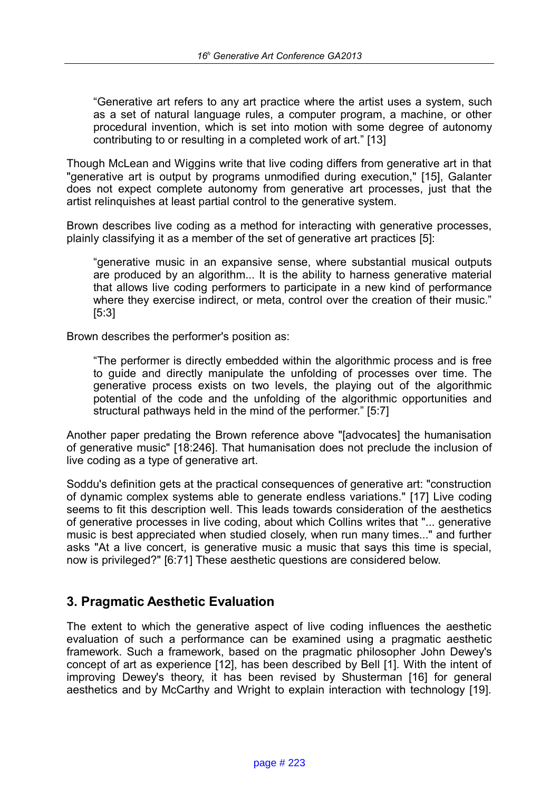"Generative art refers to any art practice where the artist uses a system, such as a set of natural language rules, a computer program, a machine, or other procedural invention, which is set into motion with some degree of autonomy contributing to or resulting in a completed work of art." [13]

Though McLean and Wiggins write that live coding differs from generative art in that "generative art is output by programs unmodified during execution," [15], Galanter does not expect complete autonomy from generative art processes, just that the artist relinquishes at least partial control to the generative system.

Brown describes live coding as a method for interacting with generative processes, plainly classifying it as a member of the set of generative art practices [5]:

"generative music in an expansive sense, where substantial musical outputs are produced by an algorithm... It is the ability to harness generative material that allows live coding performers to participate in a new kind of performance where they exercise indirect, or meta, control over the creation of their music." [5:3]

Brown describes the performer's position as:

"The performer is directly embedded within the algorithmic process and is free to guide and directly manipulate the unfolding of processes over time. The generative process exists on two levels, the playing out of the algorithmic potential of the code and the unfolding of the algorithmic opportunities and structural pathways held in the mind of the performer." [5:7]

Another paper predating the Brown reference above "[advocates] the humanisation of generative music" [18:246]. That humanisation does not preclude the inclusion of live coding as a type of generative art.

Soddu's definition gets at the practical consequences of generative art: "construction of dynamic complex systems able to generate endless variations." [17] Live coding seems to fit this description well. This leads towards consideration of the aesthetics of generative processes in live coding, about which Collins writes that "... generative music is best appreciated when studied closely, when run many times..." and further asks "At a live concert, is generative music a music that says this time is special, now is privileged?" [6:71] These aesthetic questions are considered below.

## **3. Pragmatic Aesthetic Evaluation**

The extent to which the generative aspect of live coding influences the aesthetic evaluation of such a performance can be examined using a pragmatic aesthetic framework. Such a framework, based on the pragmatic philosopher John Dewey's concept of art as experience [12], has been described by Bell [1]. With the intent of improving Dewey's theory, it has been revised by Shusterman [16] for general aesthetics and by McCarthy and Wright to explain interaction with technology [19].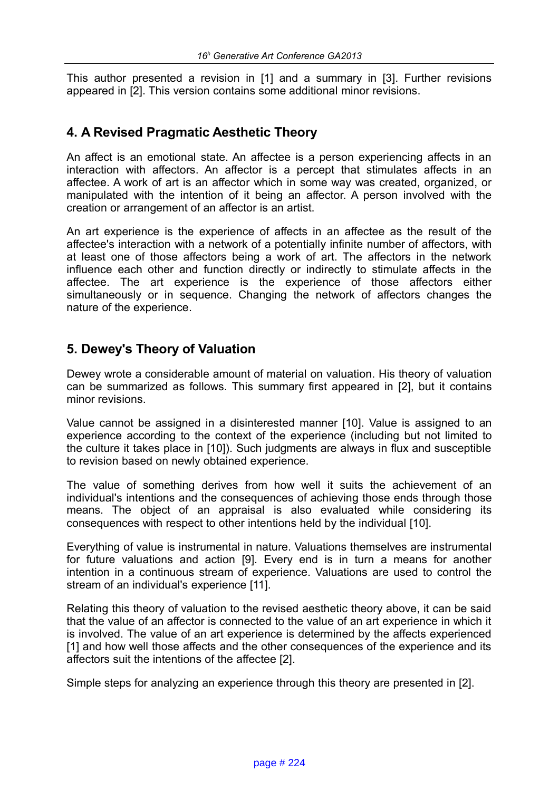This author presented a revision in [1] and a summary in [3]. Further revisions appeared in [2]. This version contains some additional minor revisions.

# **4. A Revised Pragmatic Aesthetic Theory**

An affect is an emotional state. An affectee is a person experiencing affects in an interaction with affectors. An affector is a percept that stimulates affects in an affectee. A work of art is an affector which in some way was created, organized, or manipulated with the intention of it being an affector. A person involved with the creation or arrangement of an affector is an artist.

An art experience is the experience of affects in an affectee as the result of the affectee's interaction with a network of a potentially infinite number of affectors, with at least one of those affectors being a work of art. The affectors in the network influence each other and function directly or indirectly to stimulate affects in the affectee. The art experience is the experience of those affectors either simultaneously or in sequence. Changing the network of affectors changes the nature of the experience.

## **5. Dewey's Theory of Valuation**

Dewey wrote a considerable amount of material on valuation. His theory of valuation can be summarized as follows. This summary first appeared in [2], but it contains minor revisions.

Value cannot be assigned in a disinterested manner [10]. Value is assigned to an experience according to the context of the experience (including but not limited to the culture it takes place in [10]). Such judgments are always in flux and susceptible to revision based on newly obtained experience.

The value of something derives from how well it suits the achievement of an individual's intentions and the consequences of achieving those ends through those means. The object of an appraisal is also evaluated while considering its consequences with respect to other intentions held by the individual [10].

Everything of value is instrumental in nature. Valuations themselves are instrumental for future valuations and action [9]. Every end is in turn a means for another intention in a continuous stream of experience. Valuations are used to control the stream of an individual's experience [11].

Relating this theory of valuation to the revised aesthetic theory above, it can be said that the value of an affector is connected to the value of an art experience in which it is involved. The value of an art experience is determined by the affects experienced [1] and how well those affects and the other consequences of the experience and its affectors suit the intentions of the affectee [2].

Simple steps for analyzing an experience through this theory are presented in [2].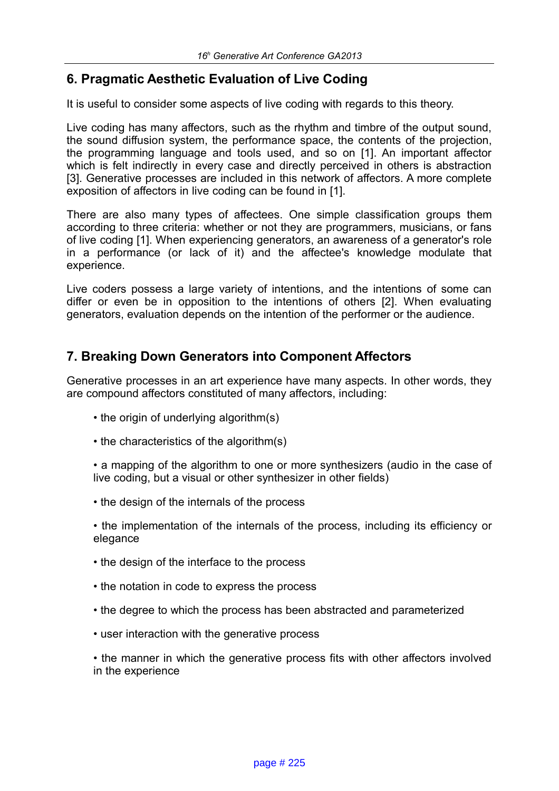# **6. Pragmatic Aesthetic Evaluation of Live Coding**

It is useful to consider some aspects of live coding with regards to this theory.

Live coding has many affectors, such as the rhythm and timbre of the output sound, the sound diffusion system, the performance space, the contents of the projection, the programming language and tools used, and so on [1]. An important affector which is felt indirectly in every case and directly perceived in others is abstraction [3]. Generative processes are included in this network of affectors. A more complete exposition of affectors in live coding can be found in [1].

There are also many types of affectees. One simple classification groups them according to three criteria: whether or not they are programmers, musicians, or fans of live coding [1]. When experiencing generators, an awareness of a generator's role in a performance (or lack of it) and the affectee's knowledge modulate that experience.

Live coders possess a large variety of intentions, and the intentions of some can differ or even be in opposition to the intentions of others [2]. When evaluating generators, evaluation depends on the intention of the performer or the audience.

# **7. Breaking Down Generators into Component Affectors**

Generative processes in an art experience have many aspects. In other words, they are compound affectors constituted of many affectors, including:

- the origin of underlying algorithm(s)
- the characteristics of the algorithm(s)

• a mapping of the algorithm to one or more synthesizers (audio in the case of live coding, but a visual or other synthesizer in other fields)

- the design of the internals of the process
- the implementation of the internals of the process, including its efficiency or elegance
- the design of the interface to the process
- the notation in code to express the process
- the degree to which the process has been abstracted and parameterized
- user interaction with the generative process

• the manner in which the generative process fits with other affectors involved in the experience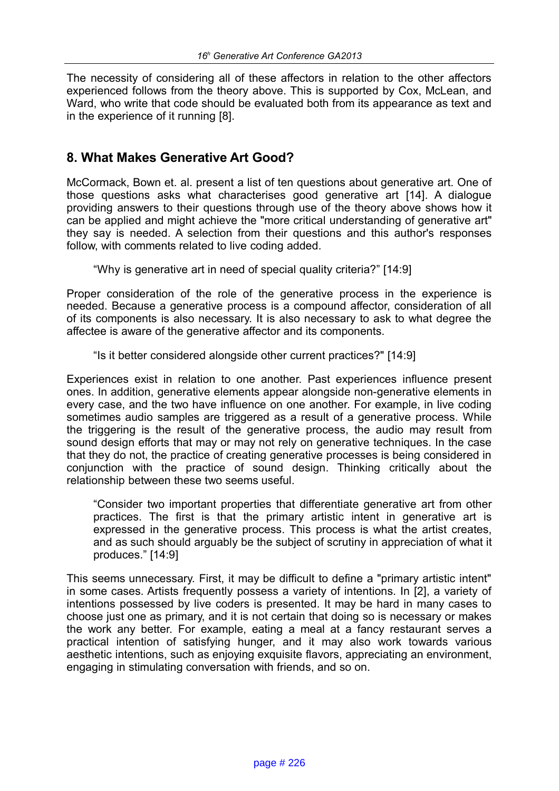The necessity of considering all of these affectors in relation to the other affectors experienced follows from the theory above. This is supported by Cox, McLean, and Ward, who write that code should be evaluated both from its appearance as text and in the experience of it running [8].

## **8. What Makes Generative Art Good?**

McCormack, Bown et. al. present a list of ten questions about generative art. One of those questions asks what characterises good generative art [14]. A dialogue providing answers to their questions through use of the theory above shows how it can be applied and might achieve the "more critical understanding of generative art" they say is needed. A selection from their questions and this author's responses follow, with comments related to live coding added.

"Why is generative art in need of special quality criteria?" [14:9]

Proper consideration of the role of the generative process in the experience is needed. Because a generative process is a compound affector, consideration of all of its components is also necessary. It is also necessary to ask to what degree the affectee is aware of the generative affector and its components.

"Is it better considered alongside other current practices?" [14:9]

Experiences exist in relation to one another. Past experiences influence present ones. In addition, generative elements appear alongside non-generative elements in every case, and the two have influence on one another. For example, in live coding sometimes audio samples are triggered as a result of a generative process. While the triggering is the result of the generative process, the audio may result from sound design efforts that may or may not rely on generative techniques. In the case that they do not, the practice of creating generative processes is being considered in conjunction with the practice of sound design. Thinking critically about the relationship between these two seems useful.

"Consider two important properties that differentiate generative art from other practices. The first is that the primary artistic intent in generative art is expressed in the generative process. This process is what the artist creates, and as such should arguably be the subject of scrutiny in appreciation of what it produces." [14:9]

This seems unnecessary. First, it may be difficult to define a "primary artistic intent" in some cases. Artists frequently possess a variety of intentions. In [2], a variety of intentions possessed by live coders is presented. It may be hard in many cases to choose just one as primary, and it is not certain that doing so is necessary or makes the work any better. For example, eating a meal at a fancy restaurant serves a practical intention of satisfying hunger, and it may also work towards various aesthetic intentions, such as enjoying exquisite flavors, appreciating an environment, engaging in stimulating conversation with friends, and so on.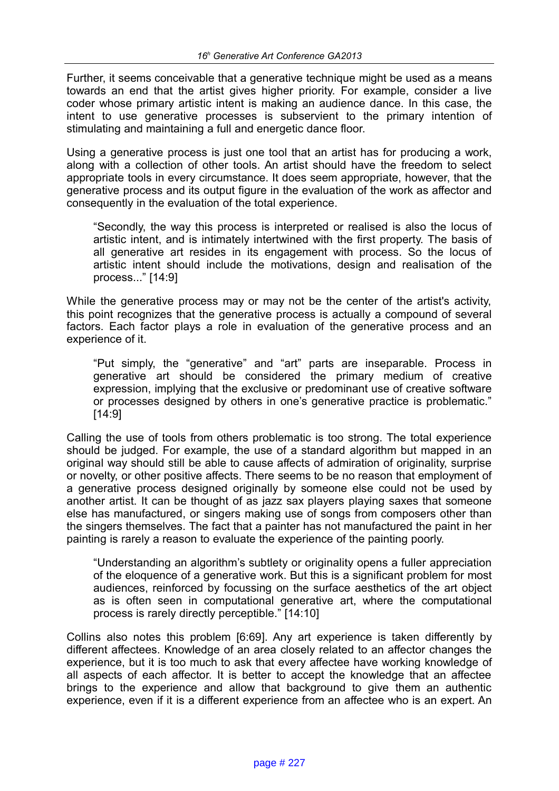Further, it seems conceivable that a generative technique might be used as a means towards an end that the artist gives higher priority. For example, consider a live coder whose primary artistic intent is making an audience dance. In this case, the intent to use generative processes is subservient to the primary intention of stimulating and maintaining a full and energetic dance floor.

Using a generative process is just one tool that an artist has for producing a work, along with a collection of other tools. An artist should have the freedom to select appropriate tools in every circumstance. It does seem appropriate, however, that the generative process and its output figure in the evaluation of the work as affector and consequently in the evaluation of the total experience.

"Secondly, the way this process is interpreted or realised is also the locus of artistic intent, and is intimately intertwined with the first property. The basis of all generative art resides in its engagement with process. So the locus of artistic intent should include the motivations, design and realisation of the process..." [14:9]

While the generative process may or may not be the center of the artist's activity, this point recognizes that the generative process is actually a compound of several factors. Each factor plays a role in evaluation of the generative process and an experience of it.

"Put simply, the "generative" and "art" parts are inseparable. Process in generative art should be considered the primary medium of creative expression, implying that the exclusive or predominant use of creative software or processes designed by others in one's generative practice is problematic." [14:9]

Calling the use of tools from others problematic is too strong. The total experience should be judged. For example, the use of a standard algorithm but mapped in an original way should still be able to cause affects of admiration of originality, surprise or novelty, or other positive affects. There seems to be no reason that employment of a generative process designed originally by someone else could not be used by another artist. It can be thought of as jazz sax players playing saxes that someone else has manufactured, or singers making use of songs from composers other than the singers themselves. The fact that a painter has not manufactured the paint in her painting is rarely a reason to evaluate the experience of the painting poorly.

"Understanding an algorithm's subtlety or originality opens a fuller appreciation of the eloquence of a generative work. But this is a significant problem for most audiences, reinforced by focussing on the surface aesthetics of the art object as is often seen in computational generative art, where the computational process is rarely directly perceptible." [14:10]

Collins also notes this problem [6:69]. Any art experience is taken differently by different affectees. Knowledge of an area closely related to an affector changes the experience, but it is too much to ask that every affectee have working knowledge of all aspects of each affector. It is better to accept the knowledge that an affectee brings to the experience and allow that background to give them an authentic experience, even if it is a different experience from an affectee who is an expert. An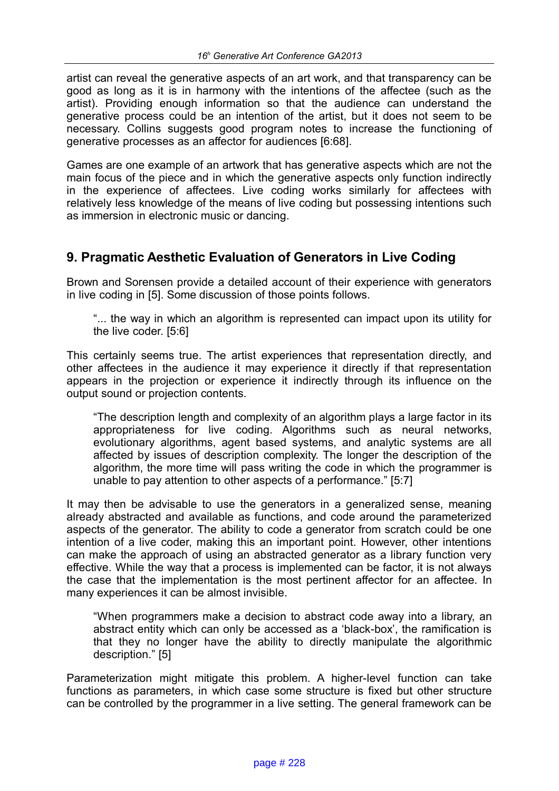artist can reveal the generative aspects of an art work, and that transparency can be good as long as it is in harmony with the intentions of the affectee (such as the artist). Providing enough information so that the audience can understand the generative process could be an intention of the artist, but it does not seem to be necessary. Collins suggests good program notes to increase the functioning of generative processes as an affector for audiences [6:68].

Games are one example of an artwork that has generative aspects which are not the main focus of the piece and in which the generative aspects only function indirectly in the experience of affectees. Live coding works similarly for affectees with relatively less knowledge of the means of live coding but possessing intentions such as immersion in electronic music or dancing.

## **9. Pragmatic Aesthetic Evaluation of Generators in Live Coding**

Brown and Sorensen provide a detailed account of their experience with generators in live coding in [5]. Some discussion of those points follows.

"... the way in which an algorithm is represented can impact upon its utility for the live coder. [5:6]

This certainly seems true. The artist experiences that representation directly, and other affectees in the audience it may experience it directly if that representation appears in the projection or experience it indirectly through its influence on the output sound or projection contents.

"The description length and complexity of an algorithm plays a large factor in its appropriateness for live coding. Algorithms such as neural networks, evolutionary algorithms, agent based systems, and analytic systems are all affected by issues of description complexity. The longer the description of the algorithm, the more time will pass writing the code in which the programmer is unable to pay attention to other aspects of a performance." [5:7]

It may then be advisable to use the generators in a generalized sense, meaning already abstracted and available as functions, and code around the parameterized aspects of the generator. The ability to code a generator from scratch could be one intention of a live coder, making this an important point. However, other intentions can make the approach of using an abstracted generator as a library function very effective. While the way that a process is implemented can be factor, it is not always the case that the implementation is the most pertinent affector for an affectee. In many experiences it can be almost invisible.

"When programmers make a decision to abstract code away into a library, an abstract entity which can only be accessed as a 'black-box', the ramification is that they no longer have the ability to directly manipulate the algorithmic description." [5]

Parameterization might mitigate this problem. A higher-level function can take functions as parameters, in which case some structure is fixed but other structure can be controlled by the programmer in a live setting. The general framework can be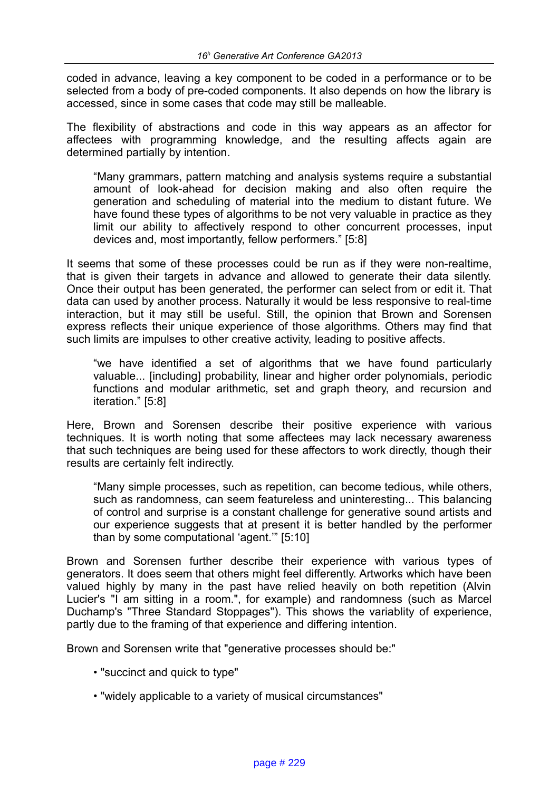coded in advance, leaving a key component to be coded in a performance or to be selected from a body of pre-coded components. It also depends on how the library is accessed, since in some cases that code may still be malleable.

The flexibility of abstractions and code in this way appears as an affector for affectees with programming knowledge, and the resulting affects again are determined partially by intention.

"Many grammars, pattern matching and analysis systems require a substantial amount of look-ahead for decision making and also often require the generation and scheduling of material into the medium to distant future. We have found these types of algorithms to be not very valuable in practice as they limit our ability to affectively respond to other concurrent processes, input devices and, most importantly, fellow performers." [5:8]

It seems that some of these processes could be run as if they were non-realtime, that is given their targets in advance and allowed to generate their data silently. Once their output has been generated, the performer can select from or edit it. That data can used by another process. Naturally it would be less responsive to real-time interaction, but it may still be useful. Still, the opinion that Brown and Sorensen express reflects their unique experience of those algorithms. Others may find that such limits are impulses to other creative activity, leading to positive affects.

"we have identified a set of algorithms that we have found particularly valuable... [including] probability, linear and higher order polynomials, periodic functions and modular arithmetic, set and graph theory, and recursion and iteration." [5:8]

Here, Brown and Sorensen describe their positive experience with various techniques. It is worth noting that some affectees may lack necessary awareness that such techniques are being used for these affectors to work directly, though their results are certainly felt indirectly.

"Many simple processes, such as repetition, can become tedious, while others, such as randomness, can seem featureless and uninteresting... This balancing of control and surprise is a constant challenge for generative sound artists and our experience suggests that at present it is better handled by the performer than by some computational 'agent.'" [5:10]

Brown and Sorensen further describe their experience with various types of generators. It does seem that others might feel differently. Artworks which have been valued highly by many in the past have relied heavily on both repetition (Alvin Lucier's "I am sitting in a room.", for example) and randomness (such as Marcel Duchamp's "Three Standard Stoppages"). This shows the variablity of experience, partly due to the framing of that experience and differing intention.

Brown and Sorensen write that "generative processes should be:"

- "succinct and quick to type"
- "widely applicable to a variety of musical circumstances"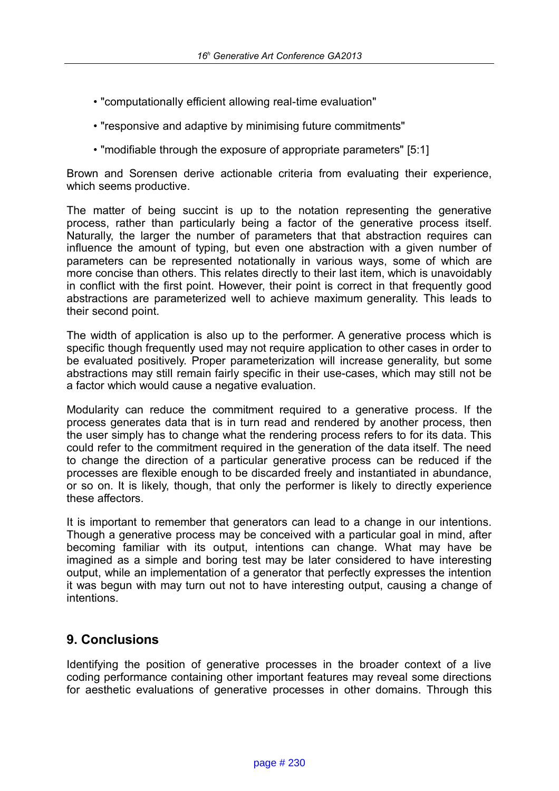- "computationally efficient allowing real-time evaluation"
- "responsive and adaptive by minimising future commitments"
- "modifiable through the exposure of appropriate parameters" [5:1]

Brown and Sorensen derive actionable criteria from evaluating their experience, which seems productive.

The matter of being succint is up to the notation representing the generative process, rather than particularly being a factor of the generative process itself. Naturally, the larger the number of parameters that that abstraction requires can influence the amount of typing, but even one abstraction with a given number of parameters can be represented notationally in various ways, some of which are more concise than others. This relates directly to their last item, which is unavoidably in conflict with the first point. However, their point is correct in that frequently good abstractions are parameterized well to achieve maximum generality. This leads to their second point.

The width of application is also up to the performer. A generative process which is specific though frequently used may not require application to other cases in order to be evaluated positively. Proper parameterization will increase generality, but some abstractions may still remain fairly specific in their use-cases, which may still not be a factor which would cause a negative evaluation.

Modularity can reduce the commitment required to a generative process. If the process generates data that is in turn read and rendered by another process, then the user simply has to change what the rendering process refers to for its data. This could refer to the commitment required in the generation of the data itself. The need to change the direction of a particular generative process can be reduced if the processes are flexible enough to be discarded freely and instantiated in abundance, or so on. It is likely, though, that only the performer is likely to directly experience these affectors.

It is important to remember that generators can lead to a change in our intentions. Though a generative process may be conceived with a particular goal in mind, after becoming familiar with its output, intentions can change. What may have be imagined as a simple and boring test may be later considered to have interesting output, while an implementation of a generator that perfectly expresses the intention it was begun with may turn out not to have interesting output, causing a change of intentions.

## **9. Conclusions**

Identifying the position of generative processes in the broader context of a live coding performance containing other important features may reveal some directions for aesthetic evaluations of generative processes in other domains. Through this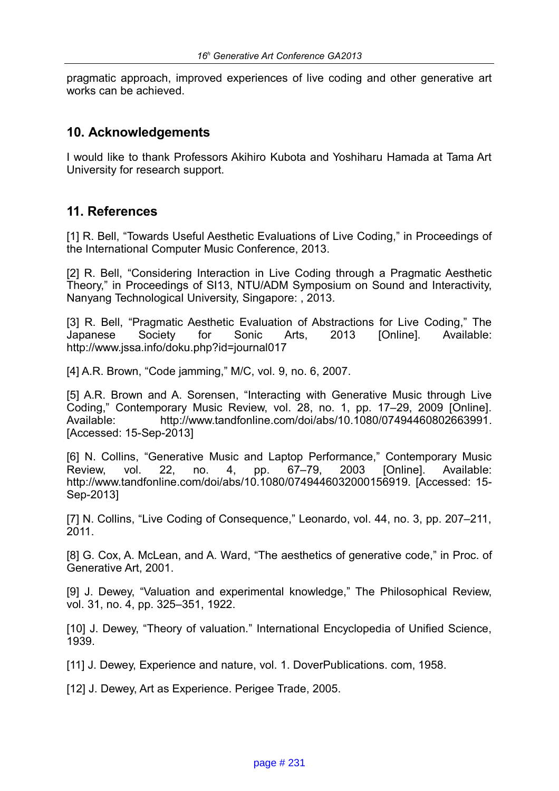pragmatic approach, improved experiences of live coding and other generative art works can be achieved.

#### **10. Acknowledgements**

I would like to thank Professors Akihiro Kubota and Yoshiharu Hamada at Tama Art University for research support.

#### **11. References**

[1] R. Bell, "Towards Useful Aesthetic Evaluations of Live Coding," in Proceedings of the International Computer Music Conference, 2013.

[2] R. Bell, "Considering Interaction in Live Coding through a Pragmatic Aesthetic Theory," in Proceedings of SI13, NTU/ADM Symposium on Sound and Interactivity, Nanyang Technological University, Singapore: , 2013.

[3] R. Bell, "Pragmatic Aesthetic Evaluation of Abstractions for Live Coding," The Japanese Society for Sonic Arts, 2013 [Online]. Available: http://www.jssa.info/doku.php?id=journal017

[4] A.R. Brown, "Code jamming," M/C, vol. 9, no. 6, 2007.

[5] A.R. Brown and A. Sorensen, "Interacting with Generative Music through Live Coding," Contemporary Music Review, vol. 28, no. 1, pp. 17–29, 2009 [Online]. Available: http://www.tandfonline.com/doi/abs/10.1080/07494460802663991. [Accessed: 15-Sep-2013]

[6] N. Collins, "Generative Music and Laptop Performance," Contemporary Music Review, vol. 22, no. 4, pp. 67–79, 2003 [Online]. Available: http://www.tandfonline.com/doi/abs/10.1080/0749446032000156919. [Accessed: 15- Sep-2013]

[7] N. Collins, "Live Coding of Consequence," Leonardo, vol. 44, no. 3, pp. 207–211, 2011.

[8] G. Cox, A. McLean, and A. Ward, "The aesthetics of generative code," in Proc. of Generative Art, 2001.

[9] J. Dewey, "Valuation and experimental knowledge," The Philosophical Review, vol. 31, no. 4, pp. 325–351, 1922.

[10] J. Dewey, "Theory of valuation." International Encyclopedia of Unified Science, 1939.

[11] J. Dewey, Experience and nature, vol. 1. DoverPublications. com, 1958.

[12] J. Dewey, Art as Experience. Perigee Trade, 2005.